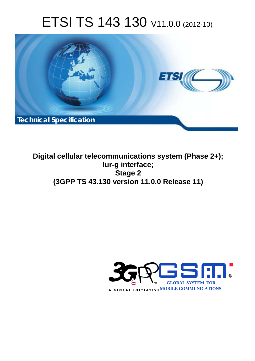# ETSI TS 143 130 V11.0.0 (2012-10)



**Digital cellular telecommunications system (Phase 2+); Iur-g interface; Stage 2 (3GPP TS 43.130 version 11.0.0 Release 11)** 

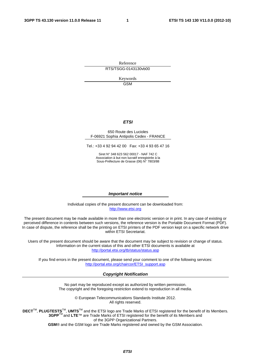Reference RTS/TSGG-0143130vb00

> Keywords GSM

#### *ETSI*

#### 650 Route des Lucioles F-06921 Sophia Antipolis Cedex - FRANCE

Tel.: +33 4 92 94 42 00 Fax: +33 4 93 65 47 16

Siret N° 348 623 562 00017 - NAF 742 C Association à but non lucratif enregistrée à la Sous-Préfecture de Grasse (06) N° 7803/88

#### *Important notice*

Individual copies of the present document can be downloaded from: [http://www.etsi.org](http://www.etsi.org/)

The present document may be made available in more than one electronic version or in print. In any case of existing or perceived difference in contents between such versions, the reference version is the Portable Document Format (PDF). In case of dispute, the reference shall be the printing on ETSI printers of the PDF version kept on a specific network drive within ETSI Secretariat.

Users of the present document should be aware that the document may be subject to revision or change of status. Information on the current status of this and other ETSI documents is available at <http://portal.etsi.org/tb/status/status.asp>

If you find errors in the present document, please send your comment to one of the following services: [http://portal.etsi.org/chaircor/ETSI\\_support.asp](http://portal.etsi.org/chaircor/ETSI_support.asp)

#### *Copyright Notification*

No part may be reproduced except as authorized by written permission. The copyright and the foregoing restriction extend to reproduction in all media.

> © European Telecommunications Standards Institute 2012. All rights reserved.

DECT<sup>™</sup>, PLUGTESTS<sup>™</sup>, UMTS<sup>™</sup> and the ETSI logo are Trade Marks of ETSI registered for the benefit of its Members. **3GPP**TM and **LTE**™ are Trade Marks of ETSI registered for the benefit of its Members and of the 3GPP Organizational Partners.

**GSM**® and the GSM logo are Trade Marks registered and owned by the GSM Association.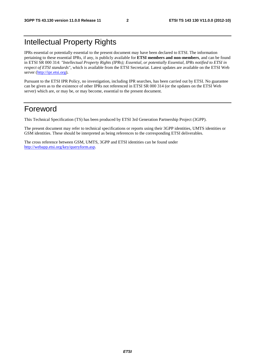# Intellectual Property Rights

IPRs essential or potentially essential to the present document may have been declared to ETSI. The information pertaining to these essential IPRs, if any, is publicly available for **ETSI members and non-members**, and can be found in ETSI SR 000 314: *"Intellectual Property Rights (IPRs); Essential, or potentially Essential, IPRs notified to ETSI in respect of ETSI standards"*, which is available from the ETSI Secretariat. Latest updates are available on the ETSI Web server [\(http://ipr.etsi.org](http://webapp.etsi.org/IPR/home.asp)).

Pursuant to the ETSI IPR Policy, no investigation, including IPR searches, has been carried out by ETSI. No guarantee can be given as to the existence of other IPRs not referenced in ETSI SR 000 314 (or the updates on the ETSI Web server) which are, or may be, or may become, essential to the present document.

### Foreword

This Technical Specification (TS) has been produced by ETSI 3rd Generation Partnership Project (3GPP).

The present document may refer to technical specifications or reports using their 3GPP identities, UMTS identities or GSM identities. These should be interpreted as being references to the corresponding ETSI deliverables.

The cross reference between GSM, UMTS, 3GPP and ETSI identities can be found under [http://webapp.etsi.org/key/queryform.asp.](http://webapp.etsi.org/key/queryform.asp)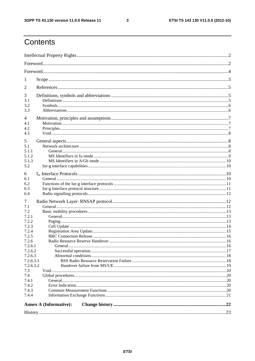$\mathbf{3}$ 

# Contents

| 1                |                               |  |  |  |
|------------------|-------------------------------|--|--|--|
| 2                |                               |  |  |  |
| 3                |                               |  |  |  |
| 3.1              |                               |  |  |  |
| 3.2              |                               |  |  |  |
| 3.3              |                               |  |  |  |
| 4                |                               |  |  |  |
| 4.1              |                               |  |  |  |
| 4.2              |                               |  |  |  |
| 4.3              |                               |  |  |  |
| 5                |                               |  |  |  |
| 5.1              |                               |  |  |  |
| 5.1.1            |                               |  |  |  |
| 5.1.2            |                               |  |  |  |
| 5.1.3            |                               |  |  |  |
| 5.2              |                               |  |  |  |
| 6                |                               |  |  |  |
| 6.1              |                               |  |  |  |
| 6.2              |                               |  |  |  |
| 6.3              |                               |  |  |  |
| 6.4              |                               |  |  |  |
| 7                |                               |  |  |  |
| 7.1              |                               |  |  |  |
| 7.2              |                               |  |  |  |
| 7.2.1            |                               |  |  |  |
| 7.2.2            |                               |  |  |  |
| 7.2.3            |                               |  |  |  |
| 7.2.4            |                               |  |  |  |
| 7.2.5            |                               |  |  |  |
| 7.2.6<br>7.2.6.1 |                               |  |  |  |
| 7.2.6.2          |                               |  |  |  |
| 7.2.6.3          |                               |  |  |  |
| 7.2.6.3.1        |                               |  |  |  |
| 7.2.6.3.2        |                               |  |  |  |
| 7.3              |                               |  |  |  |
| 7.4              |                               |  |  |  |
| 7.4.1            |                               |  |  |  |
| 7.4.2            |                               |  |  |  |
| 7.4.3            |                               |  |  |  |
| 7.4.4            |                               |  |  |  |
|                  | <b>Annex A (Informative):</b> |  |  |  |
|                  |                               |  |  |  |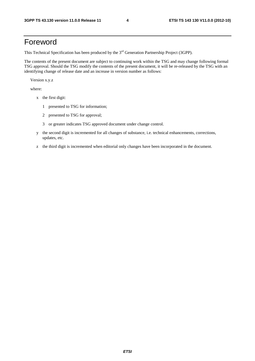# Foreword

This Technical Specification has been produced by the 3<sup>rd</sup> Generation Partnership Project (3GPP).

The contents of the present document are subject to continuing work within the TSG and may change following formal TSG approval. Should the TSG modify the contents of the present document, it will be re-released by the TSG with an identifying change of release date and an increase in version number as follows:

Version x.y.z

where:

- x the first digit:
	- 1 presented to TSG for information;
	- 2 presented to TSG for approval;
	- 3 or greater indicates TSG approved document under change control.
- y the second digit is incremented for all changes of substance, i.e. technical enhancements, corrections, updates, etc.
- z the third digit is incremented when editorial only changes have been incorporated in the document.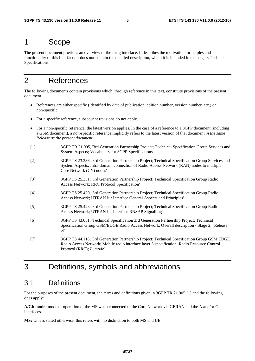### 1 Scope

The present document provides an overview of the Iur-g interface. It describes the motivation, principles and functionality of this interface. It does not contain the detailed description, which it is included in the stage 3 Technical Specifications.

# 2 References

The following documents contain provisions which, through reference in this text, constitute provisions of the present document.

- References are either specific (identified by date of publication, edition number, version number, etc.) or non-specific.
- For a specific reference, subsequent revisions do not apply.
- For a non-specific reference, the latest version applies. In the case of a reference to a 3GPP document (including a GSM document), a non-specific reference implicitly refers to the latest version of that document *in the same Release as the present document*.
- [1] 3GPP TR 21.905, '3rd Generation Partnership Project; Technical Specification Group Services and System Aspects; Vocabulary for 3GPP Specifications'
- [2] 3GPP TS 23.236, '3rd Generation Partnership Project; Technical Specification Group Services and System Aspects; Intra-domain connection of Radio Access Network (RAN) nodes to multiple Core Network (CN) nodes'
- [3] 3GPP TS 25.331, '3rd Generation Partnership Project; Technical Specification Group Radio Access Network; RRC Protocol Specification'
- [4] 3GPP TS 25.420, '3rd Generation Partnership Project; Technical Specification Group Radio Access Network; UTRAN Iur Interface General Aspects and Principles'
- [5] 3GPP TS 25.423, '3rd Generation Partnership Project; Technical Specification Group Radio Access Network; UTRAN Iur Interface RNSAP Signalling'
- [6] 3GPP TS 43.051, 'Technical Specification 3rd Generation Partnership Project; Technical Specification Group GSM/EDGE Radio Access Network; Overall description - Stage 2; (Release 5)'
- [7] 3GPP TS 44.118, '3rd Generation Partnership Project; Technical Specification Group GSM EDGE Radio Access Network; Mobile radio interface layer 3 specification, Radio Resource Control Protocol (RRC); *Iu mode*'

### 3 Definitions, symbols and abbreviations

### 3.1 Definitions

For the purposes of the present document, the terms and definitions given in 3GPP TR 21.905 [1] and the following ones apply:

**A/Gb mode:** mode of operation of the MS when connected to the Core Network via GERAN and the A and/or Gb interfaces.

**MS:** Unless stated otherwise, this refers with no distinction to both MS and UE.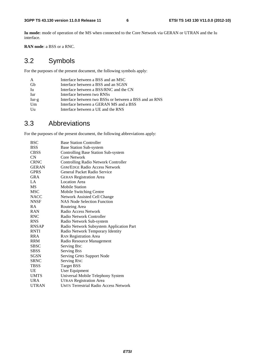**Iu mode:** mode of operation of the MS when connected to the Core Network via GERAN or UTRAN and the Iu interface.

**RAN node**: a BSS or a RNC.

# 3.2 Symbols

For the purposes of the present document, the following symbols apply:

| A         | Interface between a BSS and an MSC                     |
|-----------|--------------------------------------------------------|
| <b>Gb</b> | Interface between a BSS and an SGSN                    |
| Iu        | Interface between a BSS/RNC and the CN                 |
| Iur       | Interface between two RNSs                             |
| $Iur-g$   | Interface between two BSSs or between a BSS and an RNS |
| Um        | Interface between a GERAN MS and a BSS                 |
| Uu        | Interface between a UE and the RNS                     |

### 3.3 Abbreviations

For the purposes of the present document, the following abbreviations apply:

| BSC          | <b>Base Station Controller</b>               |
|--------------|----------------------------------------------|
| <b>BSS</b>   | <b>Base Station Sub-system</b>               |
| <b>CBSS</b>  | <b>Controlling Base Station Sub-system</b>   |
| CN.          | Core Network                                 |
| <b>CRNC</b>  | Controlling Radio Network Controller         |
| <b>GERAN</b> | <b>GSM/EDGE Radio Access Network</b>         |
| <b>GPRS</b>  | General Packet Radio Service                 |
| <b>GRA</b>   | <b>GERAN Registration Area</b>               |
| LA           | <b>Location Area</b>                         |
| <b>MS</b>    | <b>Mobile Station</b>                        |
| <b>MSC</b>   | Mobile Switching Centre                      |
| <b>NACC</b>  | Network Assisted Cell Change                 |
| <b>NNSF</b>  | <b>NAS Node Selection Function</b>           |
| <b>RA</b>    | Routeing Area                                |
| <b>RAN</b>   | Radio Access Network                         |
| <b>RNC</b>   | Radio Network Controller                     |
| <b>RNS</b>   | Radio Network Sub-system                     |
| <b>RNSAP</b> | Radio Network Subsystem Application Part     |
| <b>RNTI</b>  | Radio Network Temporary Identity             |
| <b>RRA</b>   | <b>RAN Registration Area</b>                 |
| RRM          | Radio Resource Management                    |
| <b>SBSC</b>  | Serving Bsc                                  |
| <b>SBSS</b>  | Serving Bss                                  |
| SGSN         | Serving GPRS Support Node                    |
| <b>SRNC</b>  | <b>Serving RNC</b>                           |
| <b>TBSS</b>  | <b>Target BSS</b>                            |
| UE           | <b>User Equipment</b>                        |
| <b>UMTS</b>  | Universal Mobile Telephony System            |
| <b>URA</b>   | <b>UTRAN Registration Area</b>               |
| <b>UTRAN</b> | <b>UMTS Terrestrial Radio Access Network</b> |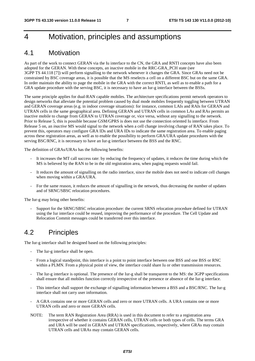# 4 Motivation, principles and assumptions

### 4.1 Motivation

As part of the work to connect GERAN via the Iu interface to the CN, the GRA and RNTI concepts have also been adopted for the GERAN. With these concepts, an inactive mobile in the RRC-GRA\_PCH state (see 3GPP TS 44.118 [7]) will perform signalling to the network whenever it changes the GRA. Since GRAs need not be constrained by BSC coverage areas, it is possible that the MS reselects a cell on a different BSC but on the same GRA. In order maintain the ability to page the mobile in the GRA with the correct RNTI, as well as to enable a path for a GRA update procedure with the serving BSC, it is necessary to have an Iur-g interface between the BSSs.

The same principle applies for dual-RAN capable mobiles. The architecture specifications permit network operators to design networks that alleviate the potential problem caused by dual mode mobiles frequently toggling between UTRAN and GERAN coverage areas (e.g. in indoor coverage situations): for instance, common LAIs and RAIs for GERAN and UTRAN cells in the same geographical area. Defining GERAN and UTRAN cells in common LAs and RAs permits an inactive mobile to change from GERAN to UTRAN coverage or, vice versa, without any signalling to the network. Prior to Release 5, this is possible because GSM/GPRS is does not use the connection oriented Iu interface. From Release 5 on, an *inactive* MS would signal to the network when a cell change involving change of RAN takes place. To prevent this, operators may configure GRA IDs and URA IDs to indicate the same registration area. To enable paging across these registration areas, as well as to enable the possibility to perform GRA/URA update procedures with the serving BSC/RNC, it is necessary to have an Iur-g interface between the BSS and the RNC.

The definition of GRAs/URAs has the following benefits:

- It increases the MT call success rate: by reducing the frequency of updates, it reduces the time during which the MS is believed by the RAN to be in the old registration area, when paging requests would fail.
- It reduces the amount of signalling on the radio interface, since the mobile does not need to indicate cell changes when moving within a GRA/URA.
- For the same reason, it reduces the amount of signalling in the network, thus decreasing the number of updates and of SRNC/SBSC relocation procedures.

The Iur-g may bring other benefits:

- Support for the SRNC/SBSC relocation procedure: the current SRNS relocation procedure defined for UTRAN using the Iur interface could be reused, improving the performance of the procedure. The Cell Update and Relocation Commit messages could be transferred over this interface.

### 4.2 Principles

The Iur-g interface shall be designed based on the following principles:

- The Iur-g interface shall be open.
- From a logical standpoint, this interface is a point to point interface between one BSS and one BSS or RNC within a PLMN. From a physical point of view, the interface could share Iu or other transmission resources.
- The Iur-g interface is optional. The presence of the Iur-g shall be transparent to the MS: the 3GPP specifications shall ensure that all mobiles function correctly irrespective of the presence or absence of the Iur-g interface.
- This interface shall support the exchange of signalling information between a BSS and a BSC/RNC. The Iur-g interface shall not carry user information.
- A GRA contains one or more GERAN cells and zero or more UTRAN cells. A URA contains one or more UTRAN cells and zero or more GERAN cells.
- NOTE: The term RAN Registration Area (RRA) is used in this document to refer to a registration area irrespective of whether it contains GERAN cells, UTRAN cells or both types of cells. The terms GRA and URA will be used in GERAN and UTRAN specifications, respectively, where GRAs may contain UTRAN cells and URAs may contain GERAN cells.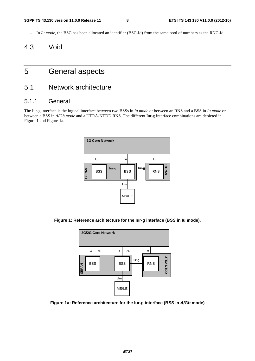- In *Iu mode*, the BSC has been allocated an identifier (BSC-Id) from the same pool of numbers as the RNC-Id.

## 4.3 Void

# 5 General aspects

### 5.1 Network architecture

### 5.1.1 General

The Iur-g interface is the logical interface between two BSSs in *Iu mode* or between an RNS and a BSS in *Iu mode* or between a BSS in *A/Gb mode* and a UTRA-NTDD RNS. The different Iur-g interface combinations are depicted in Figure 1 and Figure 1a.



**Figure 1: Reference architecture for the Iur-g interface (BSS in Iu mode).** 



**Figure 1a: Reference architecture for the Iur-g interface (BSS in** *A/Gb* **mode)**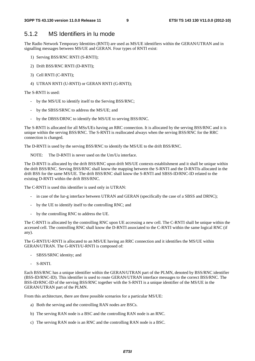### 5.1.2 MS Identifiers in Iu mode

The Radio Network Temporary Identities (RNTI) are used as MS/UE identifiers within the GERAN/UTRAN and in signalling messages between MS/UE and GERAN. Four types of RNTI exist:

- 1) Serving BSS/RNC RNTI (S-RNTI);
- 2) Drift BSS/RNC RNTI (D-RNTI);
- 3) Cell RNTI (C-RNTI);
- 4) UTRAN RNTI (U-RNTI) or GERAN RNTI (G-RNTI);

The S-RNTI is used:

- by the MS/UE to identify itself to the Serving BSS/RNC;
- by the SBSS/SRNC to address the MS/UE; and
- by the DBSS/DRNC to identify the MS/UE to serving BSS/RNC.

The S-RNTI is allocated for all MSs/UEs having an RRC connection. It is allocated by the serving BSS/RNC and it is unique within the serving BSS/RNC. The S-RNTI is reallocated always when the serving BSS/RNC for the RRC connection is changed.

The D-RNTI is used by the serving BSS/RNC to identify the MS/UE to the drift BSS/RNC.

NOTE: The D-RNTI is never used on the Um/Uu interface.

The D-RNTI is allocated by the drift BSS/RNC upon drift MS/UE contexts establishment and it shall be unique within the drift BSS/RNC. Serving BSS/RNC shall know the mapping between the S-RNTI and the D-RNTIs allocated in the drift BSS for the same MS/UE. The drift BSS/RNC shall know the S-RNTI and SBSS-ID/RNC-ID related to the existing D-RNTI within the drift BSS/RNC.

The C-RNTI is used this identifier is used only in UTRAN:

- in case of the Iur-g interface between UTRAN and GERAN (specifically the case of a SBSS and DRNC);
- by the UE to identify itself to the controlling RNC; and
- by the controlling RNC to address the UE.

The C-RNTI is allocated by the controlling RNC upon UE accessing a new cell. The C-RNTI shall be unique within the accessed cell. The controlling RNC shall know the D-RNTI associated to the C-RNTI within the same logical RNC (if any).

The G-RNTI/U-RNTI is allocated to an MS/UE having an RRC connection and it identifies the MS/UE within GERAN/UTRAN. The G-RNTI/U-RNTI is composed of:

- SBSS/SRNC identity; and
- S-RNTI.

Each BSS/RNC has a unique identifier within the GERAN/UTRAN part of the PLMN, denoted by BSS/RNC identifier (BSS-ID/RNC-ID). This identifier is used to route GERAN/UTRAN interface messages to the correct BSS/RNC. The BSS-ID/RNC-ID of the serving BSS/RNC together with the S-RNTI is a unique identifier of the MS/UE in the GERAN/UTRAN part of the PLMN.

From this architecture, there are three possible scenarios for a particular MS/UE:

- a) Both the serving and the controlling RAN nodes are BSCs.
- b) The serving RAN node is a BSC and the controlling RAN node is an RNC.
- c) The serving RAN node is an RNC and the controlling RAN node is a BSC.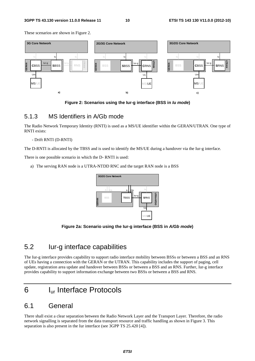#### **3GPP TS 43.130 version 11.0.0 Release 11 10 ETSI TS 143 130 V11.0.0 (2012-10)**

These scenarios are shown in Figure 2.



**Figure 2: Scenarios using the Iur-g interface (BSS in** *Iu mode***)** 

### 5.1.3 MS Identifiers in A/Gb mode

The Radio Network Temporary Identity (RNTI) is used as a MS/UE identifier within the GERAN/UTRAN. One type of RNTI exists:

#### - Drift RNTI (D-RNTI)

The D-RNTI is allocated by the TBSS and is used to identify the MS/UE during a handover via the Iur-g interface.

There is one possible scenario in which the D- RNTI is used:

a) The serving RAN node is a UTRA-NTDD RNC and the target RAN node is a BSS



**Figure 2a: Scenario using the Iur-g interface (BSS in** *A/Gb mode***)** 

### 5.2 Iur-g interface capabilities

The Iur-g interface provides capability to support radio interface mobility between BSSs or between a BSS and an RNS of UEs having a connection with the GERAN or the UTRAN. This capability includes the support of paging, cell update, registration area update and handover between BSSs or between a BSS and an RNS. Further, Iur-g interface provides capability to support information exchange between two BSSs or between a BSS and RNS.

# 6 Iur Interface Protocols

### 6.1 General

There shall exist a clear separation between the Radio Network Layer and the Transport Layer. Therefore, the radio network signalling is separated from the data transport resource and traffic handling as shown in Figure 3. This separation is also present in the Iur interface (see 3GPP TS 25.420 [4]).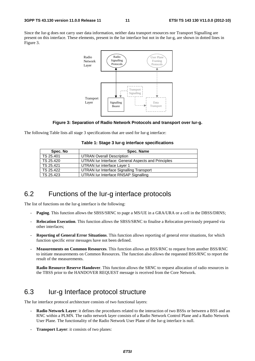Since the Iur-g does not carry user data information, neither data transport resources nor Transport Signalling are present on this interface. These elements, present in the Iur interface but not in the Iur-g, are shown in dotted lines in Figure 3.



#### **Figure 3: Separation of Radio Network Protocols and transport over Iur-g.**

The following Table lists all stage 3 specifications that are used for Iur-g interface:

|  |  |  | Table 1: Stage 3 lur-g interface specifications |
|--|--|--|-------------------------------------------------|
|--|--|--|-------------------------------------------------|

| Spec. No  | Spec. Name                                          |
|-----------|-----------------------------------------------------|
| TS 25.401 | <b>UTRAN Overall Description</b>                    |
| TS 25.420 | UTRAN Iur Interface: General Aspects and Principles |
| TS 25.421 | UTRAN lur interface Layer 1                         |
| TS 25.422 | UTRAN lur Interface Signalling Transport            |
| TS 25.423 | UTRAN lur Interface RNSAP Signalling                |

### 6.2 Functions of the Iur-g interface protocols

The list of functions on the Iur-g interface is the following:

- **Paging**. This function allows the SBSS/SRNC to page a MS/UE in a GRA/URA or a cell in the DBSS/DRNS;
- **Relocation Execution**. This function allows the SBSS/SRNC to finalise a Relocation previously prepared via other interfaces;
- **Reporting of General Error Situations**. This function allows reporting of general error situations, for which function specific error messages have not been defined.
- **Measurements on Common Resources**. This function allows an BSS/RNC to request from another BSS/RNC to initiate measurements on Common Resources. The function also allows the requested BSS/RNC to report the result of the measurements.

**Radio Resource Reserve Handover**. This function allows the SRNC to request allocation of radio resources in the TBSS prior to the HANDOVER REQUEST message is received from the Core Network.

# 6.3 Iur-g Interface protocol structure

The Iur interface protocol architecture consists of two functional layers:

- **Radio Network Layer**: it defines the procedures related to the interaction of two BSSs or between a BSS and an RNC within a PLMN. The radio network layer consists of a Radio Network Control Plane and a Radio Network User Plane. The functionality of the Radio Network User Plane of the Iur-g interface is null.
- **Transport Layer:** it consists of two planes: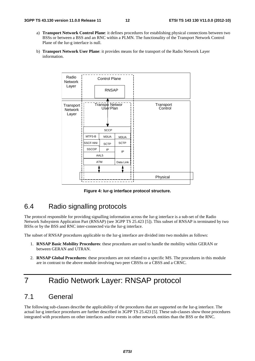- a) **Transport Network Control Plane**: it defines procedures for establishing physical connections between two BSSs or between a BSS and an RNC within a PLMN. The functionality of the Transport Network Control Plane of the Iur-g interface is null.
- b) **Transport Network User Plane**: it provides means for the transport of the Radio Network Layer information.



**Figure 4: Iur-g interface protocol structure.** 

### 6.4 Radio signalling protocols

The protocol responsible for providing signalling information across the Iur-g interface is a sub-set of the Radio Network Subsystem Application Part (RNSAP) (see 3GPP TS 25.423 [5]). This subset of RNSAP is terminated by two BSSs or by the BSS and RNC inter-connected via the Iur-g interface.

The subset of RNSAP procedures applicable to the Iur-g interface are divided into two modules as follows:

- 1. **RNSAP Basic Mobility Procedures**: these procedures are used to handle the mobility within GERAN or between GERAN and UTRAN.
- 2. **RNSAP Global Procedures**: these procedures are not related to a specific MS. The procedures in this module are in contrast to the above module involving two peer CBSSs or a CBSS and a CRNC.

# 7 Radio Network Layer: RNSAP protocol

### 7.1 General

The following sub-clauses describe the applicability of the procedures that are supported on the Iur-g interface. The actual Iur-g interface procedures are further described in 3GPP TS 25.423 [5]. These sub-clauses show those procedures integrated with procedures on other interfaces and/or events in other network entities than the BSS or the RNC.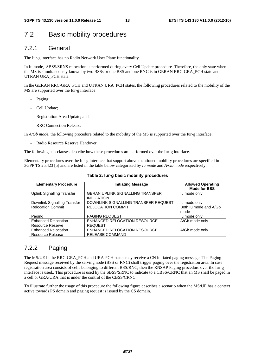### 7.2 Basic mobility procedures

### 7.2.1 General

The Iur-g interface has no Radio Network User Plane functionality.

In Iu mode, SBSS/SRNS relocation is performed during every Cell Update procedure. Therefore, the only state when the MS is simultaneously known by two BSSs or one BSS and one RNC is in GERAN RRC-GRA\_PCH state and UTRAN URA\_PCH state.

In the GERAN RRC-GRA PCH and UTRAN URA PCH states, the following procedures related to the mobility of the MS are supported over the Iur-g interface:

- Paging;
- Cell Update;
- Registration Area Update; and
- RRC Connection Release.

In *A/Gb mode*, the following procedure related to the mobility of the MS is supported over the Iur-g interface:

Radio Resource Reserve Handover.

The following sub-clauses describe how these procedures are performed over the Iur-g interface.

Elementary procedures over the Iur-g interface that support above mentioned mobility procedures are specified in 3GPP TS 25.423 [5] and are listed in the table below categorized by *Iu mode* and *A/Gb mode* respectively:

| <b>Elementary Procedure</b>                           | <b>Initiating Message</b>                                    | <b>Allowed Operating</b><br><b>Mode for BSS</b> |
|-------------------------------------------------------|--------------------------------------------------------------|-------------------------------------------------|
| <b>Uplink Signalling Transfer</b>                     | <b>GERAN UPLINK SIGNALLING TRANSFER</b><br><b>INDICATION</b> | lu mode only                                    |
| Downlink Signalling Transfer                          | DOWNLINK SIGNALLING TRANSFER REQUEST                         | lu mode only                                    |
| <b>Relocation Commit</b>                              | <b>RELOCATION COMMIT</b>                                     | Both Ju mode and A/Gb<br>mode                   |
| Paging                                                | <b>PAGING REQUEST</b>                                        | lu mode only                                    |
| <b>Enhanced Relocation</b><br><b>Resource Reserve</b> | <b>ENHANCED RELOCATION RESOURCE</b><br><b>REQUEST</b>        | A/Gb mode only                                  |
| <b>Enhanced Relocation</b><br><b>Resource Release</b> | ENHANCED RELOCATION RESOURCE<br><b>RELEASE COMMAND</b>       | A/Gb mode only                                  |

#### **Table 2: Iur-g basic mobility procedures**

### 7.2.2 Paging

The MS/UE in the RRC-GRA\_PCH and URA-PCH states may receive a CN initiated paging message. The Paging Request message received by the serving node (BSS or RNC) shall trigger paging over the registration area. In case registration area consists of cells belonging to different BSS/RNC, then the RNSAP Paging procedure over the Iur-g interface is used.. This procedure is used by the SBSS/SRNC to indicate to a CBSS/CRNC that an MS shall be paged in a cell or GRA/URA that is under the control of the CBSS/CRNC.

To illustrate further the usage of this procedure the following figure describes a scenario when the MS/UE has a context active towards PS domain and paging request is issued by the CS domain.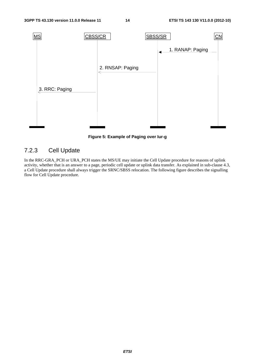

**Figure 5: Example of Paging over Iur-g** 

### 7.2.3 Cell Update

In the RRC-GRA\_PCH or URA\_PCH states the MS/UE may initiate the Cell Update procedure for reasons of uplink activity, whether that is an answer to a page, periodic cell update or uplink data transfer. As explained in sub-clause 4.3, a Cell Update procedure shall always trigger the SRNC/SBSS relocation. The following figure describes the signalling flow for Cell Update procedure.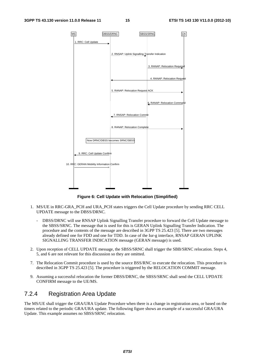

**Figure 6: Cell Update with Relocation (Simplified)** 

- 1. MS/UE in RRC-GRA\_PCH and URA\_PCH states triggers the Cell Update procedure by sending RRC CELL UPDATE message to the DBSS/DRNC.
	- DBSS/DRNC will use RNSAP Uplink Signalling Transfer procedure to forward the Cell Update message to the SBSS/SRNC. The message that is used for this is GERAN Uplink Signalling Transfer Indication. The procedure and the contents of the message are described in 3GPP TS 25.423 [5]. There are two messages already defined one for FDD and one for TDD. In case of the Iur-g interface, RNSAP GERAN UPLINK SIGNALLING TRANSFER INDICATION message (GERAN message) is used.
- 2. Upon reception of CELL UPDATE message, the SBSS/SRNC shall trigger the SBB/SRNC relocation. Steps 4, 5, and 6 are not relevant for this discussion so they are omitted.
- 7. The Relocation Commit procedure is used by the source BSS/RNC to execute the relocation. This procedure is described in 3GPP TS 25.423 [5]. The procedure is triggered by the RELOCATION COMMIT message.
- 9. Assuming a successful relocation the former DBSS/DRNC, the SBSS/SRNC shall send the CELL UPDATE CONFIRM message to the UE/MS.

### 7.2.4 Registration Area Update

The MS/UE shall trigger the GRA/URA Update Procedure when there is a change in registration area, or based on the timers related to the periodic GRA/URA update. The following figure shows an example of a successful GRA/URA Update. This example assumes no SBSS/SRNC relocation.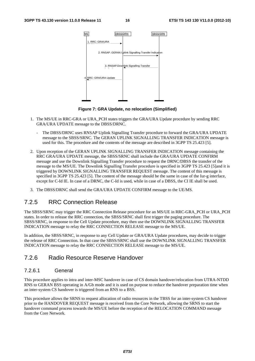

**Figure 7: GRA Update, no relocation (Simplified)** 

- 1. The MS/UE in RRC-GRA or URA\_PCH states triggers the GRA/URA Update procedure by sending RRC GRA/URA UPDATE message to the DBSS/DRNC.
	- The DBSS/DRNC uses RNSAP Uplink Signalling Transfer procedure to forward the GRA/URA UPDATE message to the SBSS/SRNC. The GERAN UPLINK SIGNALLING TRANSFER INDICATION message is used for this. The procedure and the contents of the message are described in 3GPP TS 25.423 [5].
- 2. Upon reception of the GERAN UPLINK SIGNALLING TRANSFER INDICATION message containing the RRC GRA/URA UPDATE message, the SBSS/SRNC shall include the GRA/URA UPDATE CONFIRM message and use the Downlink Signalling Transfer procedure to request the DRNC/DBSS the transfer of the message to the MS/UE. The Downlink Signalling Transfer procedure is specified in 3GPP TS 25.423 [5]and it is triggered by DOWNLINK SIGNALLING TRANSFER REQUEST message. The content of this message is specified in 3GPP TS 25.423 [5]. The content of the message should be the same in case of the Iur-g interface, except for C-Id IE. In case of a DRNC, the C-Id is used, while in case of a DBSS, the CI IE shall be used.
- 3. The DBSS/DRNC shall send the GRA/URA UPDATE CONFIRM message to the UE/MS.

### 7.2.5 RRC Connection Release

The SBSS/SRNC may trigger the RRC Connection Release procedure for an MS/UE in RRC-GRA\_PCH or URA\_PCH states. In order to release the RRC connection, the SBSS/SRNC shall first trigger the paging procedure. The SBSS/SRNC, in response to the Cell Update procedure, may then use the DOWNLINK SIGNALLING TRANSFER INDICATION message to relay the RRC CONNECTION RELEASE message to the MS/UE.

In addition, the SBSS/SRNC, in response to any Cell Update or GRA/URA Update procedures, may decide to trigger the release of RRC Connection. In that case the SBSS/SRNC shall use the DOWNLINK SIGNALLING TRANSFER INDICATION message to relay the RRC CONNECTION RELEASE message to the MS/UE.

### 7.2.6 Radio Resource Reserve Handover

#### 7.2.6.1 General

This procedure applies to intra and inter-MSC handover in case of CS domain handover/relocation from UTRA-NTDD RNS to GERAN BSS operating in A/Gb mode and it is used on purpose to reduce the handover preparation time when an inter-system CS handover is triggered from an RNS to a BSS.

This procedure allows the SRNS to request allocation of radio resources in the TBSS for an inter-system CS handover prior to the HANDOVER REQUEST message is received from the Core Network, allowing the SRNS to start the handover command process towards the MS/UE before the reception of the RELOCATION COMMAND message from the Core Network.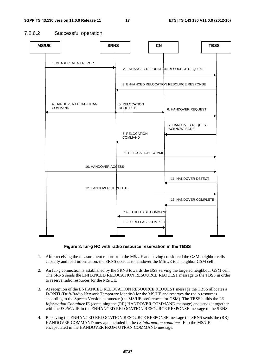#### 7.2.6.2 Successful operation





- 1. After receiving the measurement report from the MS/UE and having considered the GSM neighbor cells capacity and load information, the SRNS decides to handover the MS/UE to a neighbor GSM cell.
- 2. An Iur-g connection is established by the SRNS towards the BSS serving the targeted neighbour GSM cell. The SRNS sends the ENHANCED RELOCATION RESOURCE REQUEST message to the TBSS in order to reserve radio resources for the MS/UE.
- 3. At reception of the ENHANCED RELOCATION RESOURCE REQUEST message the TBSS allocates a D-RNTI (Drift-Radio Network Temporary Identity) for the MS/UE and reserves the radio resources according to the Speech Version parameter (the MS/UE preferences for GSM). The TBSS builds the *L3 Information Container* IE (containing the (RR) HANDOVER COMMAND message) and sends it together with the *D-RNTI* IE in the ENHANCED RELOCATION RESOURCE RESPONSE message to the SRNS.
- 4. Receiving the ENHANCED RELOCATION RESOURCE RESPONSE message the SRNS sends the (RR) HANDOVER COMMAND message included in the *L3 information container* IE to the MS/UE encapsulated in the HANDOVER FROM UTRAN COMMAND message.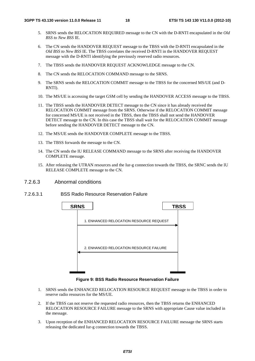- 5. SRNS sends the RELOCATION REQUIRED message to the CN with the D-RNTI encapsulated in the *Old BSS to New BSS* IE.
- 6. The CN sends the HANDOVER REQUEST message to the TBSS with the D-RNTI encapsulated in the *Old BSS to New BSS* IE. The TBSS correlates the received D-RNTI in the HANDOVER REQUEST message with the D-RNTI identifying the previously reserved radio resources.
- 7. The TBSS sends the HANDOVER REQUEST ACKNOWLEDGE message to the CN.
- 8. The CN sends the RELOCATION COMMAND message to the SRNS.
- 9. The SRNS sends the RELOCATION COMMIT message to the TBSS for the concerned MS/UE (and D-RNTI).
- 10. The MS/UE is accessing the target GSM cell by sending the HANDOVER ACCESS message to the TBSS.
- 11. The TBSS sends the HANDOVER DETECT message to the CN since it has already received the RELOCATION COMMIT message from the SRNS. Otherwise if the RELOCATION COMMIT message for concerned MS/UE is not received in the TBSS, then the TBSS shall not send the HANDOVER DETECT message to the CN. In this case the TBSS shall wait for the RELOCATION COMMIT message before sending the HANDOVER DETECT message to the CN.
- 12. The MS/UE sends the HANDOVER COMPLETE message to the TBSS.
- 13. The TBSS forwards the message to the CN.
- 14. The CN sends the IU RELEASE COMMAND message to the SRNS after receiving the HANDOVER COMPLETE message.
- 15. After releasing the UTRAN resources and the Iur-g connection towards the TBSS, the SRNC sends the IU RELEASE COMPLETE message to the CN.
- 7.2.6.3 Abnormal conditions
- 7.2.6.3.1 BSS Radio Resource Reservation Failure



**Figure 9: BSS Radio Resource Reservation Failure** 

- 1. SRNS sends the ENHANCED RELOCATION RESOURCE REQUEST message to the TBSS in order to reserve radio resources for the MS/UE.
- 2. If the TBSS can not reserve the requested radio resources, then the TBSS returns the ENHANCED RELOCATION RESOURCE FAILURE message to the SRNS with appropriate Cause value included in the message.
- 3. Upon reception of the ENHANCED RELOCATION RESOURCE FAILURE message the SRNS starts releasing the dedicated Iur-g connection towards the TBSS.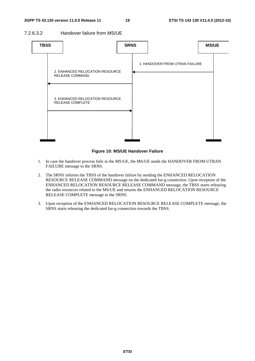7.2.6.3.2 Handover failure from MS/UE



**Figure 10: MS/UE Handover Failure** 

- 1. In case the handover process fails in the MS/UE, the MS/UE sends the HANDOVER FROM UTRAN FAILURE message to the SRNS.
- 2. The SRNS informs the TBSS of the handover failure by sending the ENHANCED RELOCATION RESOURCE RELEASE COMMAND message on the dedicated Iur-g connection. Upon reception of the ENHANCED RELOCATION RESOURCE RELEASE COMMAND message, the TBSS starts releasing the radio resources related to the MS/UE and returns the ENHANCED RELOCATION RESOURCE RELEASE COMPLETE message to the SRNS.
- 3. Upon reception of the ENHANCED RELOCATION RESOURCE RELEASE COMPLETE message, the SRNS starts releasing the dedicated Iur-g connection towards the TBSS.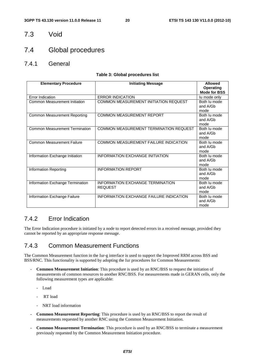### 7.3 Void

### 7.4 Global procedures

7.4.1 General

#### **Table 3: Global procedures list**

| <b>Elementary Procedure</b>           | <b>Initiating Message</b>                                 | <b>Allowed</b><br><b>Operating</b> |
|---------------------------------------|-----------------------------------------------------------|------------------------------------|
|                                       |                                                           | <b>Mode for BSS</b>                |
| Error Indication                      | <b>ERROR INDICATION</b>                                   | lu mode only                       |
| Common Measurement Initiation         | COMMON MEASUREMENT INITIATION REQUEST                     | Both lu mode<br>and A/Gb<br>mode   |
| Common Measurement Reporting          | <b>COMMON MEASUREMENT REPORT</b>                          | Both lu mode<br>and A/Gb<br>mode   |
| <b>Common Measurement Termination</b> | <b>COMMON MEASUREMENT TERMINATION REQUEST</b>             | Both lu mode<br>and A/Gb<br>mode   |
| <b>Common Measurement Failure</b>     | COMMON MEASUREMENT FAILURE INDICATION                     | Both lu mode<br>and A/Gb<br>mode   |
| Information Exchange Initiation       | INFORMATION EXCHANGE INITIATION                           | Both lu mode<br>and A/Gb<br>mode   |
| Information Reporting                 | <b>INFORMATION REPORT</b>                                 | Both lu mode<br>and A/Gb<br>mode   |
| Information Exchange Termination      | <b>INFORMATION EXCHANGE TERMINATION</b><br><b>REQUEST</b> | Both lu mode<br>and A/Gb<br>mode   |
| Information Exchange Failure          | <b>INFORMATION EXCHANGE FAILURE INDICATION</b>            | Both lu mode<br>and A/Gb<br>mode   |

### 7.4.2 Error Indication

The Error Indication procedure is initiated by a node to report detected errors in a received message, provided they cannot be reported by an appropriate response message.

### 7.4.3 Common Measurement Functions

The Common Measurement function in the Iur-g interface is used to support the Improved RRM across BSS and BSS/RNC. This functionality is supported by adopting the Iur procedures for Common Measurements:

- **Common Measurement Initiation**: This procedure is used by an RNC/BSS to request the initiation of measurements of common resources to another RNC/BSS. For measurements made in GERAN cells, only the following measurement types are applicable:
	- Load
	- RT load
	- NRT load information
- **Common Measurement Reporting**: This procedure is used by an RNC/BSS to report the result of measurements requested by another RNC using the Common Measurement Initiation.
- **Common Measurement Termination**: This procedure is used by an RNC/BSS to terminate a measurement previously requested by the Common Measurement Initiation procedure.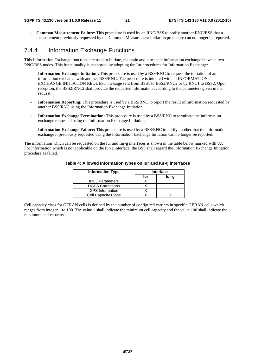- **Common Measurement Failure**: This procedure is used by an RNC/BSS to notify another RNC/BSS that a measurement previously requested by the Common Measurement Initiation procedure can no longer be reported.

### 7.4.4 Information Exchange Functions

This Information Exchange functions are used to initiate, maintain and terminate information exchange between two RNC/BSS nodes. This functionality is supported by adopting the Iur procedures for Information Exchange:

- **Information Exchange Initiation:** This procedure is used by a BSS/RNC to request the initiation of an information exchange with another BSS/RNC. The procedure is initiated with an INFORMATION EXCHANGE INITIATION REQUEST message sent from BSS1 to BSS2/RNC2 or by RNC1 to BSS2. Upon reception, the BSS2/RNC2 shall provide the requested information according to the parameters given in the request.
- **Information Reporting:** This procedure is used by a BSS/RNC to report the result of information requested by another BSS/RNC using the Information Exchange Initiation.
- **Information Exchange Termination:** This procedure is used by a BSS/RNC to terminate the information exchange requested using the Information Exchange Initiation.
- **Information Exchange Failure:** This procedure is used by a BSS/RNC to notify another that the information exchange it previously requested using the Information Exchange Initiation can no longer be reported.

The information which can be requested on the Iur and Iur-g interfaces is shown in the table below marked with 'X'. For information which is not applicable on the Iur-g interface, the BSS shall regard the Information Exchange Initiation procedure as failed.

| <b>Information Type</b>    | <b>Interface</b> |       |  |
|----------------------------|------------------|-------|--|
|                            | lur              | lur-g |  |
| <b>IPDL Parameters</b>     |                  |       |  |
| <b>DGPS Corrections</b>    |                  |       |  |
| <b>GPS</b> Information     |                  |       |  |
| <b>Cell Capacity Class</b> |                  |       |  |

#### **Table 4: Allowed Information types on Iur and Iur-g interfaces**

Cell capacity class for GERAN cells is defined by the number of configured carriers in specific GERAN cells which ranges from integer 1 to 100. The value 1 shall indicate the minimum cell capacity and the value 100 shall indicate the maximum cell capacity.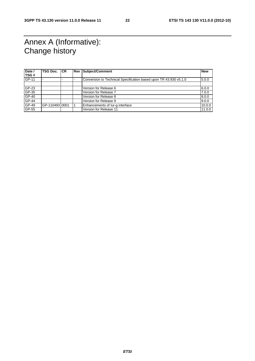# Annex A (Informative): Change history

| Date /       | <b>TSG Doc.</b> | <b>ICR</b> | <b>Rev Subject/Comment</b>                                        | <b>New</b> |
|--------------|-----------------|------------|-------------------------------------------------------------------|------------|
| <b>TSG#</b>  |                 |            |                                                                   |            |
| GP-11        |                 |            | Conversion to Technical Specification based upon TR 43.930 v5.1.0 | 5.0.0      |
|              |                 |            |                                                                   |            |
| GP-23        |                 |            | Version for Release 6                                             | 6.0.0      |
| $GP-35$      |                 |            | Version for Release 7                                             | 7.0.0      |
| $GP-40$      |                 |            | Version for Release 8                                             | 8.0.0      |
| <b>GP-44</b> |                 |            | Version for Release 9                                             | 9.0.0      |
| GP-49        | IGP-11049310001 |            | Enhancements of lur-g interface                                   | 10.0.0     |
| GP-55        |                 |            | Version for Release 11                                            | 11.0.0     |